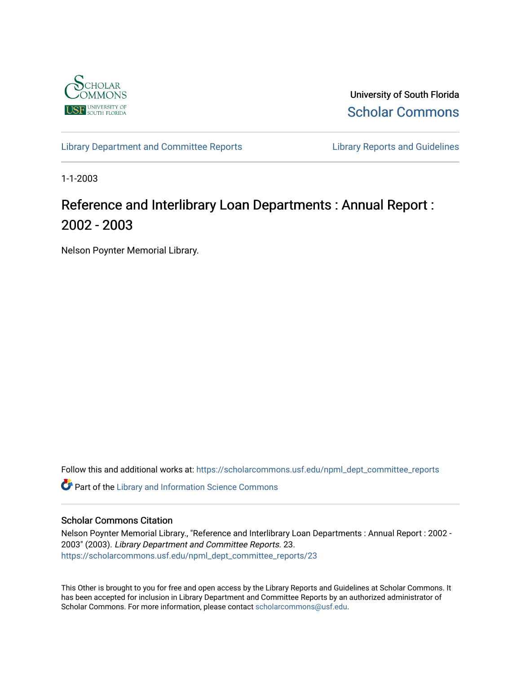

University of South Florida [Scholar Commons](https://scholarcommons.usf.edu/) 

[Library Department and Committee Reports](https://scholarcommons.usf.edu/npml_dept_committee_reports) **Library Reports and Guidelines** 

1-1-2003

# Reference and Interlibrary Loan Departments : Annual Report : 2002 - 2003

Nelson Poynter Memorial Library.

Follow this and additional works at: [https://scholarcommons.usf.edu/npml\\_dept\\_committee\\_reports](https://scholarcommons.usf.edu/npml_dept_committee_reports?utm_source=scholarcommons.usf.edu%2Fnpml_dept_committee_reports%2F23&utm_medium=PDF&utm_campaign=PDFCoverPages)

**C** Part of the Library and Information Science Commons

## Scholar Commons Citation

Nelson Poynter Memorial Library., "Reference and Interlibrary Loan Departments : Annual Report : 2002 - 2003" (2003). Library Department and Committee Reports. 23. [https://scholarcommons.usf.edu/npml\\_dept\\_committee\\_reports/23](https://scholarcommons.usf.edu/npml_dept_committee_reports/23?utm_source=scholarcommons.usf.edu%2Fnpml_dept_committee_reports%2F23&utm_medium=PDF&utm_campaign=PDFCoverPages) 

This Other is brought to you for free and open access by the Library Reports and Guidelines at Scholar Commons. It has been accepted for inclusion in Library Department and Committee Reports by an authorized administrator of Scholar Commons. For more information, please contact [scholarcommons@usf.edu](mailto:scholarcommons@usf.edu).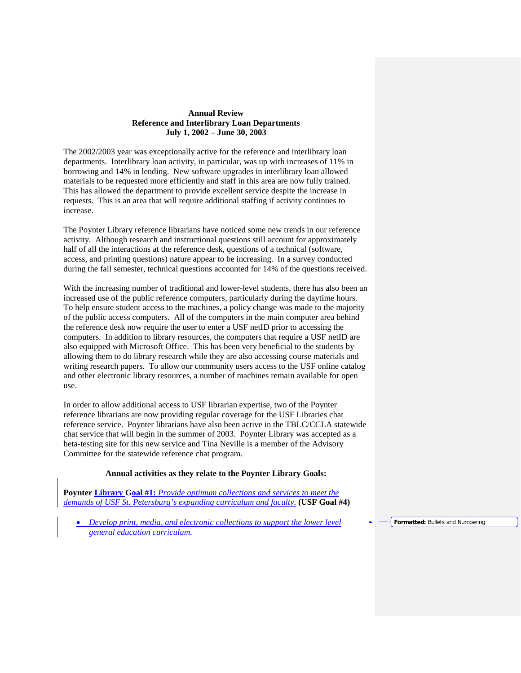## **Annual Review Reference and Interlibrary Loan Departments July 1, 2002 – June 30, 2003**

The 2002/2003 year was exceptionally active for the reference and interlibrary loan departments. Interlibrary loan activity, in particular, was up with increases of 11% in borrowing and 14% in lending. New software upgrades in interlibrary loan allowed materials to be requested more efficiently and staff in this area are now fully trained. This has allowed the department to provide excellent service despite the increase in requests. This is an area that will require additional staffing if activity continues to increase.

The Poynter Library reference librarians have noticed some new trends in our reference activity. Although research and instructional questions still account for approximately half of all the interactions at the reference desk, questions of a technical (software, access, and printing questions) nature appear to be increasing. In a survey conducted during the fall semester, technical questions accounted for 14% of the questions received.

With the increasing number of traditional and lower-level students, there has also been an increased use of the public reference computers, particularly during the daytime hours. To help ensure student access to the machines, a policy change was made to the majority of the public access computers. All of the computers in the main computer area behind the reference desk now require the user to enter a USF netID prior to accessing the computers. In addition to library resources, the computers that require a USF netID are also equipped with Microsoft Office. This has been very beneficial to the students by allowing them to do library research while they are also accessing course materials and writing research papers. To allow our community users access to the USF online catalog and other electronic library resources, a number of machines remain available for open use.

In order to allow additional access to USF librarian expertise, two of the Poynter reference librarians are now providing regular coverage for the USF Libraries chat reference service. Poynter librarians have also been active in the TBLC/CCLA statewide chat service that will begin in the summer of 2003. Poynter Library was accepted as a beta-testing site for this new service and Tina Neville is a member of the Advisory Committee for the statewide reference chat program.

## **Annual activities as they relate to the Poynter Library Goals:**

**Poynter Library Goal #1:** *Provide optimum collections and services to meet the demands of USF St. Petersburg's expanding curriculum and faculty.* **(USF Goal #4)**

• *Develop print, media, and electronic collections to support the lower level general education curriculum.*

**Formatted:** Bullets and Numbering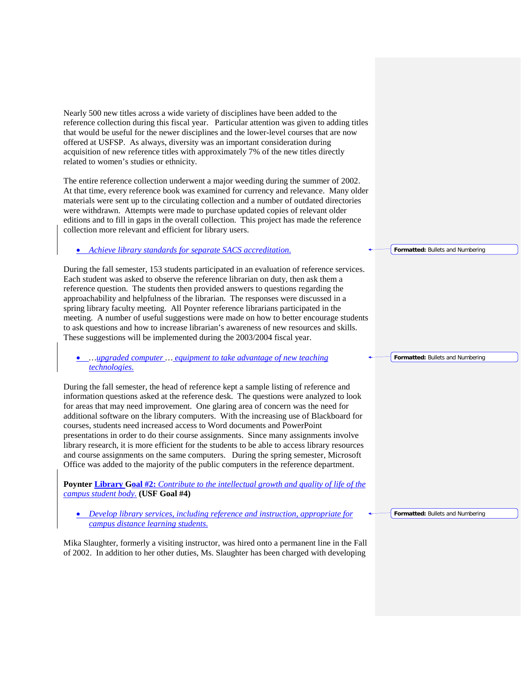Nearly 500 new titles across a wide variety of disciplines have been added to the reference collection during this fiscal year. Particular attention was given to adding titles that would be useful for the newer disciplines and the lower-level courses that are now offered at USFSP. As always, diversity was an important consideration during acquisition of new reference titles with approximately 7% of the new titles directly related to women's studies or ethnicity.

The entire reference collection underwent a major weeding during the summer of 2002. At that time, every reference book was examined for currency and relevance. Many older materials were sent up to the circulating collection and a number of outdated directories were withdrawn. Attempts were made to purchase updated copies of relevant older editions and to fill in gaps in the overall collection. This project has made the reference collection more relevant and efficient for library users.

## • *Achieve library standards for separate SACS accreditation.*

During the fall semester, 153 students participated in an evaluation of reference services. Each student was asked to observe the reference librarian on duty, then ask them a reference question. The students then provided answers to questions regarding the approachability and helpfulness of the librarian. The responses were discussed in a spring library faculty meeting. All Poynter reference librarians participated in the meeting. A number of useful suggestions were made on how to better encourage students to ask questions and how to increase librarian's awareness of new resources and skills. These suggestions will be implemented during the 2003/2004 fiscal year.

## • *…upgraded computer … equipment to take advantage of new teaching technologies.*

During the fall semester, the head of reference kept a sample listing of reference and information questions asked at the reference desk. The questions were analyzed to look for areas that may need improvement. One glaring area of concern was the need for additional software on the library computers. With the increasing use of Blackboard for courses, students need increased access to Word documents and PowerPoint presentations in order to do their course assignments. Since many assignments involve library research, it is more efficient for the students to be able to access library resources and course assignments on the same computers. During the spring semester, Microsoft Office was added to the majority of the public computers in the reference department.

**Poynter Library Goal #2:** *Contribute to the intellectual growth and quality of life of the campus student body.* **(USF Goal #4)**

• *Develop library services, including reference and instruction, appropriate for campus distance learning students.*

Mika Slaughter, formerly a visiting instructor, was hired onto a permanent line in the Fall of 2002. In addition to her other duties, Ms. Slaughter has been charged with developing

### **Formatted:** Bullets and Numbering

#### **Formatted:** Bullets and Numbering

**Formatted:** Bullets and Numbering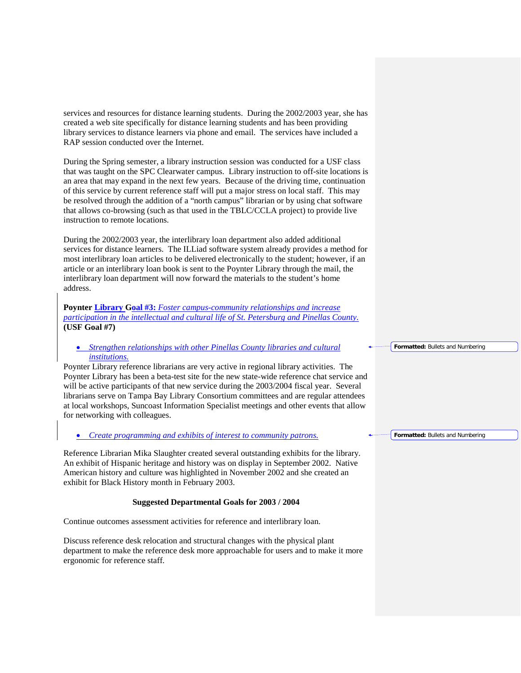services and resources for distance learning students. During the 2002/2003 year, she has created a web site specifically for distance learning students and has been providing library services to distance learners via phone and email. The services have included a RAP session conducted over the Internet.

During the Spring semester, a library instruction session was conducted for a USF class that was taught on the SPC Clearwater campus. Library instruction to off-site locations is an area that may expand in the next few years. Because of the driving time, continuation of this service by current reference staff will put a major stress on local staff. This may be resolved through the addition of a "north campus" librarian or by using chat software that allows co-browsing (such as that used in the TBLC/CCLA project) to provide live instruction to remote locations.

During the 2002/2003 year, the interlibrary loan department also added additional services for distance learners. The ILLiad software system already provides a method for most interlibrary loan articles to be delivered electronically to the student; however, if an article or an interlibrary loan book is sent to the Poynter Library through the mail, the interlibrary loan department will now forward the materials to the student's home address.

## **Poynter Library Goal #3:** *Foster campus-community relationships and increase participation in the intellectual and cultural life of St. Petersburg and Pinellas County.* **(USF Goal #7)**

## • *Strengthen relationships with other Pinellas County libraries and cultural institutions.*

Poynter Library reference librarians are very active in regional library activities. The Poynter Library has been a beta-test site for the new state-wide reference chat service and will be active participants of that new service during the 2003/2004 fiscal year. Several librarians serve on Tampa Bay Library Consortium committees and are regular attendees at local workshops, Suncoast Information Specialist meetings and other events that allow for networking with colleagues.

## • *Create programming and exhibits of interest to community patrons.*

Reference Librarian Mika Slaughter created several outstanding exhibits for the library. An exhibit of Hispanic heritage and history was on display in September 2002. Native American history and culture was highlighted in November 2002 and she created an exhibit for Black History month in February 2003.

## **Suggested Departmental Goals for 2003 / 2004**

Continue outcomes assessment activities for reference and interlibrary loan.

Discuss reference desk relocation and structural changes with the physical plant department to make the reference desk more approachable for users and to make it more ergonomic for reference staff.

**Formatted:** Bullets and Numbering

**Formatted:** Bullets and Numbering